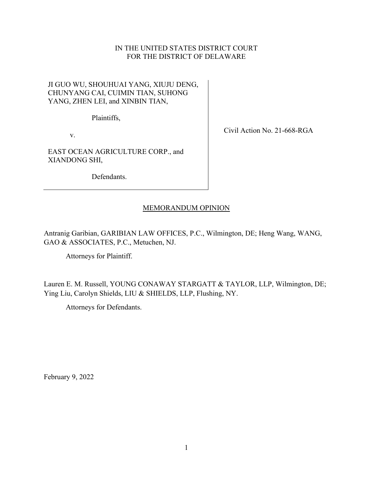# IN THE UNITED STATES DISTRICT COURT FOR THE DISTRICT OF DELAWARE

# JI GUO WU, SHOUHUAI YANG, XIUJU DENG, CHUNYANG CAI, CUIMIN TIAN, SUHONG YANG, ZHEN LEI, and XINBIN TIAN,

Plaintiffs,

v.

EAST OCEAN AGRICULTURE CORP., and XIANDONG SHI,

Defendants.

Civil Action No. 21-668-RGA

# MEMORANDUM OPINION

Antranig Garibian, GARIBIAN LAW OFFICES, P.C., Wilmington, DE; Heng Wang, WANG, GAO & ASSOCIATES, P.C., Metuchen, NJ.

Attorneys for Plaintiff.

Lauren E. M. Russell, YOUNG CONAWAY STARGATT & TAYLOR, LLP, Wilmington, DE; Ying Liu, Carolyn Shields, LIU & SHIELDS, LLP, Flushing, NY.

Attorneys for Defendants.

February 9, 2022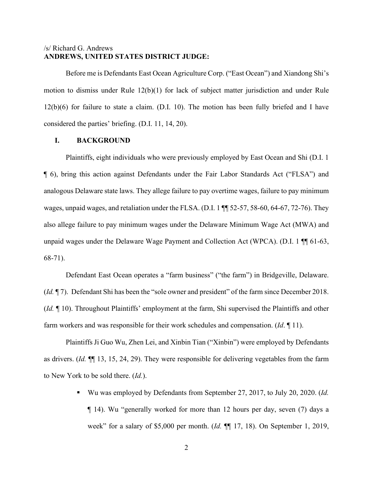## /s/ Richard G. Andrews **ANDREWS, UNITED STATES DISTRICT JUDGE:**

Before me is Defendants East Ocean Agriculture Corp. ("East Ocean") and Xiandong Shi's motion to dismiss under Rule 12(b)(1) for lack of subject matter jurisdiction and under Rule 12(b)(6) for failure to state a claim. (D.I. 10). The motion has been fully briefed and I have considered the parties' briefing. (D.I. 11, 14, 20).

## **I. BACKGROUND**

Plaintiffs, eight individuals who were previously employed by East Ocean and Shi (D.I. 1 ¶ 6), bring this action against Defendants under the Fair Labor Standards Act ("FLSA") and analogous Delaware state laws. They allege failure to pay overtime wages, failure to pay minimum wages, unpaid wages, and retaliation under the FLSA. (D.I. 1 ¶¶ 52-57, 58-60, 64-67, 72-76). They also allege failure to pay minimum wages under the Delaware Minimum Wage Act (MWA) and unpaid wages under the Delaware Wage Payment and Collection Act (WPCA). (D.I. 1 ¶¶ 61-63, 68-71).

Defendant East Ocean operates a "farm business" ("the farm") in Bridgeville, Delaware. (*Id.* ¶ 7). Defendant Shi has been the "sole owner and president" of the farm since December 2018. (*Id.* ¶ 10). Throughout Plaintiffs' employment at the farm, Shi supervised the Plaintiffs and other farm workers and was responsible for their work schedules and compensation. (*Id*. ¶ 11).

Plaintiffs Ji Guo Wu, Zhen Lei, and Xinbin Tian ("Xinbin") were employed by Defendants as drivers. (*Id.* ¶¶ 13, 15, 24, 29). They were responsible for delivering vegetables from the farm to New York to be sold there. (*Id.*).

> Wu was employed by Defendants from September 27, 2017, to July 20, 2020. (*Id.* ¶ 14). Wu "generally worked for more than 12 hours per day, seven (7) days a week" for a salary of \$5,000 per month. (*Id.* ¶¶ 17, 18). On September 1, 2019,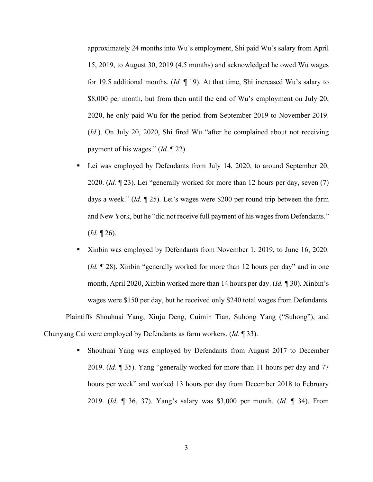approximately 24 months into Wu's employment, Shi paid Wu's salary from April 15, 2019, to August 30, 2019 (4.5 months) and acknowledged he owed Wu wages for 19.5 additional months. (*Id.* ¶ 19). At that time, Shi increased Wu's salary to \$8,000 per month, but from then until the end of Wu's employment on July 20, 2020, he only paid Wu for the period from September 2019 to November 2019. (*Id.*). On July 20, 2020, Shi fired Wu "after he complained about not receiving payment of his wages." (*Id.* ¶ 22).

- Lei was employed by Defendants from July 14, 2020, to around September 20, 2020. (*Id.* ¶ 23). Lei "generally worked for more than 12 hours per day, seven (7) days a week." (*Id.* ¶ 25). Lei's wages were \$200 per round trip between the farm and New York, but he "did not receive full payment of his wages from Defendants." (*Id.* ¶ 26).
- Xinbin was employed by Defendants from November 1, 2019, to June 16, 2020. (*Id.* ¶ 28). Xinbin "generally worked for more than 12 hours per day" and in one month, April 2020, Xinbin worked more than 14 hours per day. (*Id. ¶* 30). Xinbin's wages were \$150 per day, but he received only \$240 total wages from Defendants. Plaintiffs Shouhuai Yang, Xiuju Deng, Cuimin Tian, Suhong Yang ("Suhong"), and

Chunyang Cai were employed by Defendants as farm workers. (*Id*. ¶ 33).

 Shouhuai Yang was employed by Defendants from August 2017 to December 2019. (*Id*. ¶ 35). Yang "generally worked for more than 11 hours per day and 77 hours per week" and worked 13 hours per day from December 2018 to February 2019. (*Id.* ¶ 36, 37). Yang's salary was \$3,000 per month. (*Id.* ¶ 34). From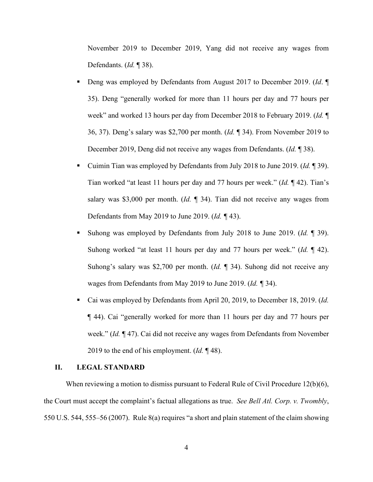November 2019 to December 2019, Yang did not receive any wages from Defendants. (*Id.* ¶ 38).

- Deng was employed by Defendants from August 2017 to December 2019. (*Id*. ¶ 35). Deng "generally worked for more than 11 hours per day and 77 hours per week" and worked 13 hours per day from December 2018 to February 2019. (*Id.* ¶ 36, 37). Deng's salary was \$2,700 per month. (*Id.* ¶ 34). From November 2019 to December 2019, Deng did not receive any wages from Defendants. (*Id.* ¶ 38).
- Cuimin Tian was employed by Defendants from July 2018 to June 2019. (*Id.* ¶ 39). Tian worked "at least 11 hours per day and 77 hours per week." (*Id.* ¶ 42). Tian's salary was \$3,000 per month. (*Id.* ¶ 34). Tian did not receive any wages from Defendants from May 2019 to June 2019. (*Id. ¶* 43).
- Suhong was employed by Defendants from July 2018 to June 2019. (*Id.* ¶ 39). Suhong worked "at least 11 hours per day and 77 hours per week." (*Id.* ¶ 42). Suhong's salary was \$2,700 per month. (*Id.* ¶ 34). Suhong did not receive any wages from Defendants from May 2019 to June 2019. (*Id. ¶* 34).
- Cai was employed by Defendants from April 20, 2019, to December 18, 2019. (*Id.* ¶ 44). Cai "generally worked for more than 11 hours per day and 77 hours per week." (*Id.* ¶ 47). Cai did not receive any wages from Defendants from November 2019 to the end of his employment. (*Id.* ¶ 48).

### **II. LEGAL STANDARD**

When reviewing a motion to dismiss pursuant to Federal Rule of Civil Procedure  $12(b)(6)$ , the Court must accept the complaint's factual allegations as true. *See Bell Atl. Corp. v. Twombly*, 550 U.S. 544, 555–56 (2007). Rule 8(a) requires "a short and plain statement of the claim showing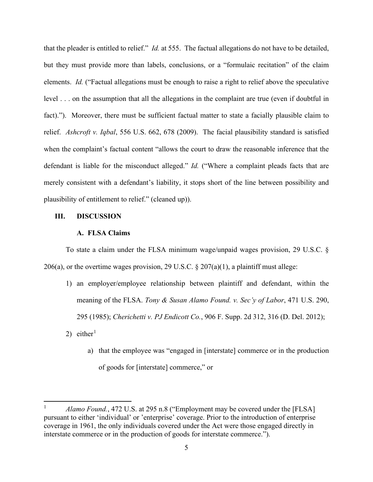that the pleader is entitled to relief." *Id.* at 555. The factual allegations do not have to be detailed, but they must provide more than labels, conclusions, or a "formulaic recitation" of the claim elements. *Id.* ("Factual allegations must be enough to raise a right to relief above the speculative level . . . on the assumption that all the allegations in the complaint are true (even if doubtful in fact)."). Moreover, there must be sufficient factual matter to state a facially plausible claim to relief. *Ashcroft v. Iqbal*, 556 U.S. 662, 678 (2009). The facial plausibility standard is satisfied when the complaint's factual content "allows the court to draw the reasonable inference that the defendant is liable for the misconduct alleged." *Id.* ("Where a complaint pleads facts that are merely consistent with a defendant's liability, it stops short of the line between possibility and plausibility of entitlement to relief." (cleaned up)).

#### **III. DISCUSSION**

#### **A. FLSA Claims**

To state a claim under the FLSA minimum wage/unpaid wages provision, 29 U.S.C. § 206(a), or the overtime wages provision, 29 U.S.C.  $\S 207(a)(1)$ , a plaintiff must allege:

- 1) an employer/employee relationship between plaintiff and defendant, within the meaning of the FLSA. *Tony & Susan Alamo Found. v. Sec'y of Labor*, 471 U.S. 290, 295 (1985); *Cherichetti v. PJ Endicott Co.*, 906 F. Supp. 2d 312, 316 (D. Del. 2012);
- 2) either<sup>[1](#page-4-0)</sup>
	- a) that the employee was "engaged in [interstate] commerce or in the production of goods for [interstate] commerce," or

<span id="page-4-0"></span>*Alamo Found.*, 472 U.S. at 295 n.8 ("Employment may be covered under the [FLSA] pursuant to either 'individual' or 'enterprise' coverage. Prior to the introduction of enterprise coverage in 1961, the only individuals covered under the Act were those engaged directly in interstate commerce or in the production of goods for interstate commerce.").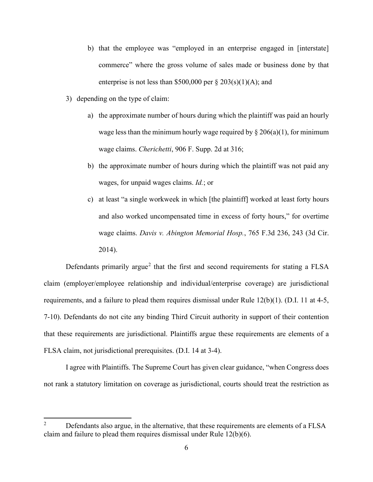- b) that the employee was "employed in an enterprise engaged in [interstate] commerce" where the gross volume of sales made or business done by that enterprise is not less than \$500,000 per  $\S 203(s)(1)(A)$ ; and
- 3) depending on the type of claim:
	- a) the approximate number of hours during which the plaintiff was paid an hourly wage less than the minimum hourly wage required by  $\S 206(a)(1)$ , for minimum wage claims. *Cherichetti*, 906 F. Supp. 2d at 316;
	- b) the approximate number of hours during which the plaintiff was not paid any wages, for unpaid wages claims. *Id.*; or
	- c) at least "a single workweek in which [the plaintiff] worked at least forty hours and also worked uncompensated time in excess of forty hours," for overtime wage claims. *Davis v. Abington Memorial Hosp.*, 765 F.3d 236, 243 (3d Cir. 2014).

Defendants primarily argue<sup>[2](#page-5-0)</sup> that the first and second requirements for stating a FLSA claim (employer/employee relationship and individual/enterprise coverage) are jurisdictional requirements, and a failure to plead them requires dismissal under Rule  $12(b)(1)$ . (D.I. 11 at 4-5, 7-10). Defendants do not cite any binding Third Circuit authority in support of their contention that these requirements are jurisdictional. Plaintiffs argue these requirements are elements of a FLSA claim, not jurisdictional prerequisites. (D.I. 14 at 3-4).

I agree with Plaintiffs. The Supreme Court has given clear guidance, "when Congress does not rank a statutory limitation on coverage as jurisdictional, courts should treat the restriction as

<span id="page-5-0"></span> $2^2$  Defendants also argue, in the alternative, that these requirements are elements of a FLSA claim and failure to plead them requires dismissal under Rule 12(b)(6).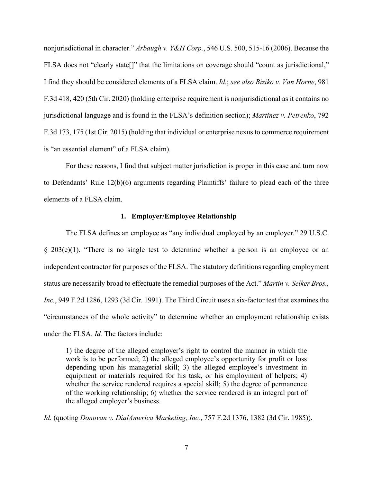nonjurisdictional in character." *Arbaugh v. Y&H Corp.*, 546 U.S. 500, 515-16 (2006). Because the FLSA does not "clearly state[]" that the limitations on coverage should "count as jurisdictional," I find they should be considered elements of a FLSA claim. *Id.*; *see also Biziko v. Van Horne*, 981 F.3d 418, 420 (5th Cir. 2020) (holding enterprise requirement is nonjurisdictional as it contains no jurisdictional language and is found in the FLSA's definition section); *Martinez v. Petrenko*, 792 F.3d 173, 175 (1st Cir. 2015) (holding that individual or enterprise nexus to commerce requirement is "an essential element" of a FLSA claim).

For these reasons, I find that subject matter jurisdiction is proper in this case and turn now to Defendants' Rule 12(b)(6) arguments regarding Plaintiffs' failure to plead each of the three elements of a FLSA claim.

#### **1. Employer/Employee Relationship**

The FLSA defines an employee as "any individual employed by an employer." 29 U.S.C. § 203(e)(1). "There is no single test to determine whether a person is an employee or an independent contractor for purposes of the FLSA. The statutory definitions regarding employment status are necessarily broad to effectuate the remedial purposes of the Act." *Martin v. Selker Bros., Inc.*, 949 F.2d 1286, 1293 (3d Cir. 1991). The Third Circuit uses a six-factor test that examines the "circumstances of the whole activity" to determine whether an employment relationship exists under the FLSA. *Id.* The factors include:

1) the degree of the alleged employer's right to control the manner in which the work is to be performed; 2) the alleged employee's opportunity for profit or loss depending upon his managerial skill; 3) the alleged employee's investment in equipment or materials required for his task, or his employment of helpers; 4) whether the service rendered requires a special skill; 5) the degree of permanence of the working relationship; 6) whether the service rendered is an integral part of the alleged employer's business.

*Id.* (quoting *Donovan v. DialAmerica Marketing, Inc.*, 757 F.2d 1376, 1382 (3d Cir. 1985)).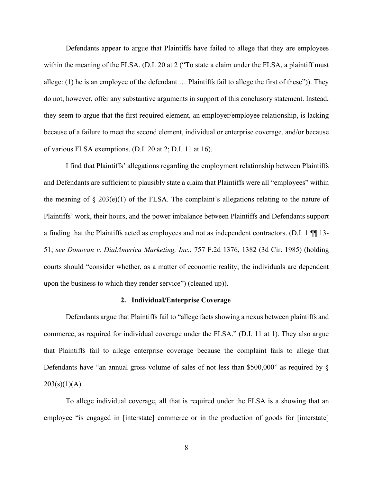Defendants appear to argue that Plaintiffs have failed to allege that they are employees within the meaning of the FLSA. (D.I. 20 at 2 ("To state a claim under the FLSA, a plaintiff must allege: (1) he is an employee of the defendant … Plaintiffs fail to allege the first of these")). They do not, however, offer any substantive arguments in support of this conclusory statement. Instead, they seem to argue that the first required element, an employer/employee relationship, is lacking because of a failure to meet the second element, individual or enterprise coverage, and/or because of various FLSA exemptions. (D.I. 20 at 2; D.I. 11 at 16).

I find that Plaintiffs' allegations regarding the employment relationship between Plaintiffs and Defendants are sufficient to plausibly state a claim that Plaintiffs were all "employees" within the meaning of  $\S 203(e)(1)$  of the FLSA. The complaint's allegations relating to the nature of Plaintiffs' work, their hours, and the power imbalance between Plaintiffs and Defendants support a finding that the Plaintiffs acted as employees and not as independent contractors. (D.I. 1 ¶¶ 13- 51; *see Donovan v. DialAmerica Marketing, Inc.*, 757 F.2d 1376, 1382 (3d Cir. 1985) (holding courts should "consider whether, as a matter of economic reality, the individuals are dependent upon the business to which they render service") (cleaned up)).

### **2. Individual/Enterprise Coverage**

Defendants argue that Plaintiffs fail to "allege facts showing a nexus between plaintiffs and commerce, as required for individual coverage under the FLSA." (D.I. 11 at 1). They also argue that Plaintiffs fail to allege enterprise coverage because the complaint fails to allege that Defendants have "an annual gross volume of sales of not less than \$500,000" as required by §  $203(s)(1)(A)$ .

To allege individual coverage, all that is required under the FLSA is a showing that an employee "is engaged in [interstate] commerce or in the production of goods for [interstate]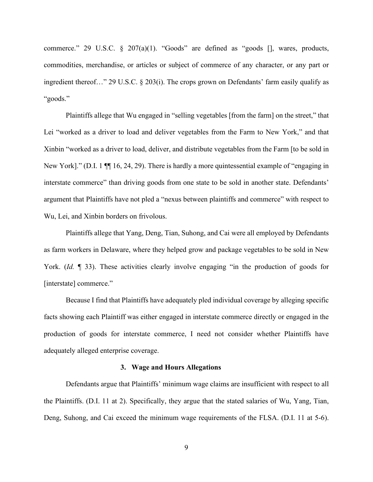commerce." 29 U.S.C. § 207(a)(1). "Goods" are defined as "goods [], wares, products, commodities, merchandise, or articles or subject of commerce of any character, or any part or ingredient thereof…" 29 U.S.C. § 203(i). The crops grown on Defendants' farm easily qualify as "goods."

Plaintiffs allege that Wu engaged in "selling vegetables [from the farm] on the street," that Lei "worked as a driver to load and deliver vegetables from the Farm to New York," and that Xinbin "worked as a driver to load, deliver, and distribute vegetables from the Farm [to be sold in New York]." (D.I. 1  $\P$  16, 24, 29). There is hardly a more quintessential example of "engaging in interstate commerce" than driving goods from one state to be sold in another state. Defendants' argument that Plaintiffs have not pled a "nexus between plaintiffs and commerce" with respect to Wu, Lei, and Xinbin borders on frivolous.

Plaintiffs allege that Yang, Deng, Tian, Suhong, and Cai were all employed by Defendants as farm workers in Delaware, where they helped grow and package vegetables to be sold in New York. *(Id.* 133). These activities clearly involve engaging "in the production of goods for [interstate] commerce."

Because I find that Plaintiffs have adequately pled individual coverage by alleging specific facts showing each Plaintiff was either engaged in interstate commerce directly or engaged in the production of goods for interstate commerce, I need not consider whether Plaintiffs have adequately alleged enterprise coverage.

#### **3. Wage and Hours Allegations**

Defendants argue that Plaintiffs' minimum wage claims are insufficient with respect to all the Plaintiffs. (D.I. 11 at 2). Specifically, they argue that the stated salaries of Wu, Yang, Tian, Deng, Suhong, and Cai exceed the minimum wage requirements of the FLSA. (D.I. 11 at 5-6).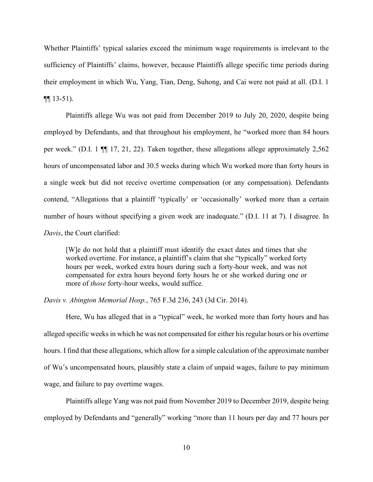Whether Plaintiffs' typical salaries exceed the minimum wage requirements is irrelevant to the sufficiency of Plaintiffs' claims, however, because Plaintiffs allege specific time periods during their employment in which Wu, Yang, Tian, Deng, Suhong, and Cai were not paid at all. (D.I. 1  $\P\P$  13-51).

Plaintiffs allege Wu was not paid from December 2019 to July 20, 2020, despite being employed by Defendants, and that throughout his employment, he "worked more than 84 hours per week." (D.I. 1 ¶¶ 17, 21, 22). Taken together, these allegations allege approximately 2,562 hours of uncompensated labor and 30.5 weeks during which Wu worked more than forty hours in a single week but did not receive overtime compensation (or any compensation). Defendants contend, "Allegations that a plaintiff 'typically' or 'occasionally' worked more than a certain number of hours without specifying a given week are inadequate." (D.I. 11 at 7). I disagree. In *Davis*, the Court clarified:

[W]e do not hold that a plaintiff must identify the exact dates and times that she worked overtime. For instance, a plaintiff's claim that she "typically" worked forty hours per week, worked extra hours during such a forty-hour week, and was not compensated for extra hours beyond forty hours he or she worked during one or more of *those* forty-hour weeks, would suffice.

*Davis v. Abington Memorial Hosp.*, 765 F.3d 236, 243 (3d Cir. 2014).

Here, Wu has alleged that in a "typical" week, he worked more than forty hours and has alleged specific weeks in which he was not compensated for either his regular hours or his overtime hours. I find that these allegations, which allow for a simple calculation of the approximate number of Wu's uncompensated hours, plausibly state a claim of unpaid wages, failure to pay minimum wage, and failure to pay overtime wages.

Plaintiffs allege Yang was not paid from November 2019 to December 2019, despite being employed by Defendants and "generally" working "more than 11 hours per day and 77 hours per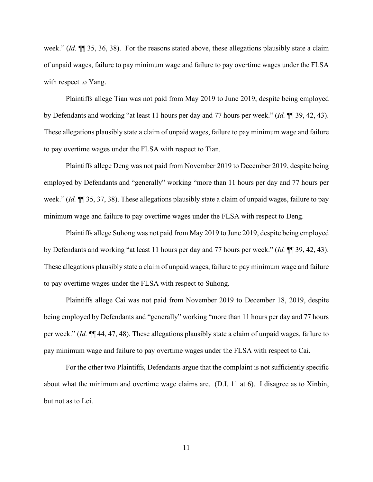week." (*Id.* ¶¶ 35, 36, 38). For the reasons stated above, these allegations plausibly state a claim of unpaid wages, failure to pay minimum wage and failure to pay overtime wages under the FLSA with respect to Yang.

Plaintiffs allege Tian was not paid from May 2019 to June 2019, despite being employed by Defendants and working "at least 11 hours per day and 77 hours per week." (*Id.* ¶¶ 39, 42, 43). These allegations plausibly state a claim of unpaid wages, failure to pay minimum wage and failure to pay overtime wages under the FLSA with respect to Tian.

Plaintiffs allege Deng was not paid from November 2019 to December 2019, despite being employed by Defendants and "generally" working "more than 11 hours per day and 77 hours per week." (*Id.* ¶¶ 35, 37, 38). These allegations plausibly state a claim of unpaid wages, failure to pay minimum wage and failure to pay overtime wages under the FLSA with respect to Deng.

Plaintiffs allege Suhong was not paid from May 2019 to June 2019, despite being employed by Defendants and working "at least 11 hours per day and 77 hours per week." (*Id.* ¶¶ 39, 42, 43). These allegations plausibly state a claim of unpaid wages, failure to pay minimum wage and failure to pay overtime wages under the FLSA with respect to Suhong.

Plaintiffs allege Cai was not paid from November 2019 to December 18, 2019, despite being employed by Defendants and "generally" working "more than 11 hours per day and 77 hours per week." (*Id.* ¶¶ 44, 47, 48). These allegations plausibly state a claim of unpaid wages, failure to pay minimum wage and failure to pay overtime wages under the FLSA with respect to Cai.

For the other two Plaintiffs, Defendants argue that the complaint is not sufficiently specific about what the minimum and overtime wage claims are. (D.I. 11 at 6). I disagree as to Xinbin, but not as to Lei.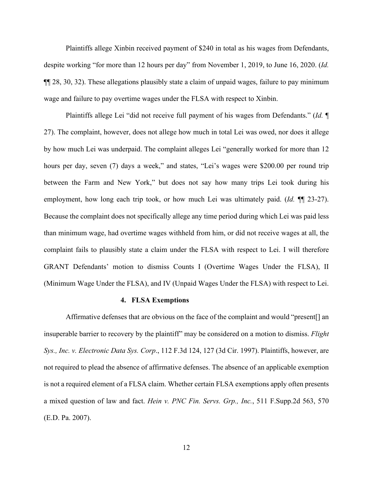Plaintiffs allege Xinbin received payment of \$240 in total as his wages from Defendants, despite working "for more than 12 hours per day" from November 1, 2019, to June 16, 2020. (*Id.* ¶¶ 28, 30, 32). These allegations plausibly state a claim of unpaid wages, failure to pay minimum wage and failure to pay overtime wages under the FLSA with respect to Xinbin.

Plaintiffs allege Lei "did not receive full payment of his wages from Defendants." (*Id.* ¶ 27). The complaint, however, does not allege how much in total Lei was owed, nor does it allege by how much Lei was underpaid. The complaint alleges Lei "generally worked for more than 12 hours per day, seven (7) days a week," and states, "Lei's wages were \$200.00 per round trip between the Farm and New York," but does not say how many trips Lei took during his employment, how long each trip took, or how much Lei was ultimately paid. (*Id.* ¶¶ 23-27). Because the complaint does not specifically allege any time period during which Lei was paid less than minimum wage, had overtime wages withheld from him, or did not receive wages at all, the complaint fails to plausibly state a claim under the FLSA with respect to Lei. I will therefore GRANT Defendants' motion to dismiss Counts I (Overtime Wages Under the FLSA), II (Minimum Wage Under the FLSA), and IV (Unpaid Wages Under the FLSA) with respect to Lei.

### **4. FLSA Exemptions**

Affirmative defenses that are obvious on the face of the complaint and would "present[] an insuperable barrier to recovery by the plaintiff" may be considered on a motion to dismiss. *Flight Sys., Inc. v. Electronic Data Sys. Corp*., 112 F.3d 124, 127 (3d Cir. 1997). Plaintiffs, however, are not required to plead the absence of affirmative defenses. The absence of an applicable exemption is not a required element of a FLSA claim. Whether certain FLSA exemptions apply often presents a mixed question of law and fact. *Hein v. PNC Fin. Servs. Grp., Inc.*, 511 F.Supp.2d 563, 570 (E.D. Pa. 2007).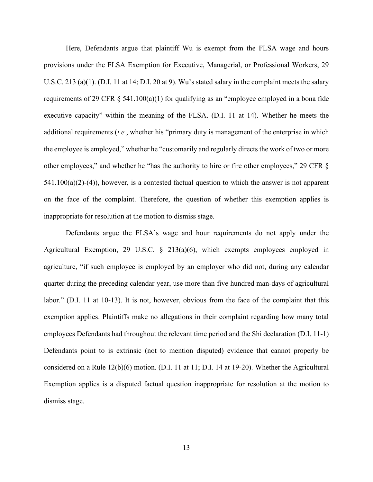Here, Defendants argue that plaintiff Wu is exempt from the FLSA wage and hours provisions under the FLSA Exemption for Executive, Managerial, or Professional Workers, 29 U.S.C. 213 (a)(1). (D.I. 11 at 14; D.I. 20 at 9). Wu's stated salary in the complaint meets the salary requirements of 29 CFR § 541.100(a)(1) for qualifying as an "employee employed in a bona fide executive capacity" within the meaning of the FLSA. (D.I. 11 at 14). Whether he meets the additional requirements (*i.e.*, whether his "primary duty is management of the enterprise in which the employee is employed," whether he "customarily and regularly directs the work of two or more other employees," and whether he "has the authority to hire or fire other employees," 29 CFR §  $541.100(a)(2)-(4)$ ), however, is a contested factual question to which the answer is not apparent on the face of the complaint. Therefore, the question of whether this exemption applies is inappropriate for resolution at the motion to dismiss stage.

Defendants argue the FLSA's wage and hour requirements do not apply under the Agricultural Exemption, 29 U.S.C. § 213(a)(6), which exempts employees employed in agriculture, "if such employee is employed by an employer who did not, during any calendar quarter during the preceding calendar year, use more than five hundred man-days of agricultural labor." (D.I. 11 at 10-13). It is not, however, obvious from the face of the complaint that this exemption applies. Plaintiffs make no allegations in their complaint regarding how many total employees Defendants had throughout the relevant time period and the Shi declaration (D.I. 11-1) Defendants point to is extrinsic (not to mention disputed) evidence that cannot properly be considered on a Rule 12(b)(6) motion. (D.I. 11 at 11; D.I. 14 at 19-20). Whether the Agricultural Exemption applies is a disputed factual question inappropriate for resolution at the motion to dismiss stage.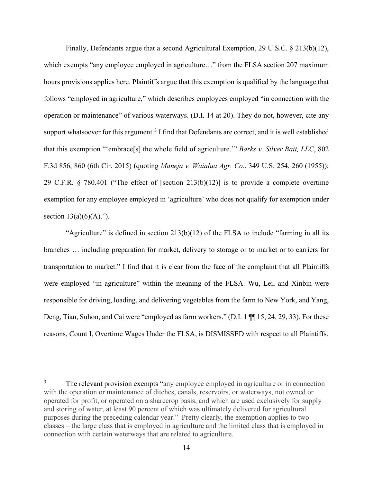Finally, Defendants argue that a second Agricultural Exemption, 29 U.S.C. § 213(b)(12), which exempts "any employee employed in agriculture..." from the FLSA section 207 maximum hours provisions applies here. Plaintiffs argue that this exemption is qualified by the language that follows "employed in agriculture," which describes employees employed "in connection with the operation or maintenance" of various waterways. (D.I. 14 at 20). They do not, however, cite any support whatsoever for this argument.<sup>[3](#page-13-0)</sup> I find that Defendants are correct, and it is well established that this exemption "'embrace[s] the whole field of agriculture.'" *Barks v. Silver Bait, LLC*, 802 F.3d 856, 860 (6th Cir. 2015) (quoting *Maneja v. Waialua Agr. Co.*, 349 U.S. 254, 260 (1955)); 29 C.F.R. § 780.401 ("The effect of [section 213(b)(12)] is to provide a complete overtime exemption for any employee employed in 'agriculture' who does not qualify for exemption under section  $13(a)(6)(A)$ .").

"Agriculture" is defined in section  $213(b)(12)$  of the FLSA to include "farming in all its branches … including preparation for market, delivery to storage or to market or to carriers for transportation to market." I find that it is clear from the face of the complaint that all Plaintiffs were employed "in agriculture" within the meaning of the FLSA. Wu, Lei, and Xinbin were responsible for driving, loading, and delivering vegetables from the farm to New York, and Yang, Deng, Tian, Suhon, and Cai were "employed as farm workers." (D.I. 1 ¶¶ 15, 24, 29, 33). For these reasons, Count I, Overtime Wages Under the FLSA, is DISMISSED with respect to all Plaintiffs.

<span id="page-13-0"></span>The relevant provision exempts "any employee employed in agriculture or in connection with the operation or maintenance of ditches, canals, reservoirs, or waterways, not owned or operated for profit, or operated on a sharecrop basis, and which are used exclusively for supply and storing of water, at least 90 percent of which was ultimately delivered for agricultural purposes during the preceding calendar year." Pretty clearly, the exemption applies to two classes – the large class that is employed in agriculture and the limited class that is employed in connection with certain waterways that are related to agriculture.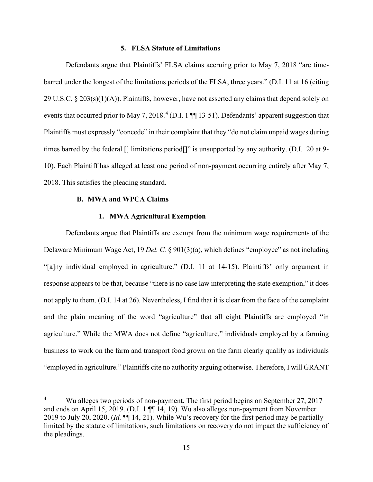### **5. FLSA Statute of Limitations**

Defendants argue that Plaintiffs' FLSA claims accruing prior to May 7, 2018 "are timebarred under the longest of the limitations periods of the FLSA, three years." (D.I. 11 at 16 (citing 29 U.S.C. § 203(s)(1)(A)). Plaintiffs, however, have not asserted any claims that depend solely on events that occurred prior to May 7, 2018.<sup>[4](#page-14-0)</sup> (D.I. 1  $\P$  13-51). Defendants' apparent suggestion that Plaintiffs must expressly "concede" in their complaint that they "do not claim unpaid wages during times barred by the federal [] limitations period[]" is unsupported by any authority. (D.I. 20 at 9- 10). Each Plaintiff has alleged at least one period of non-payment occurring entirely after May 7, 2018. This satisfies the pleading standard.

#### **B. MWA and WPCA Claims**

#### **1. MWA Agricultural Exemption**

Defendants argue that Plaintiffs are exempt from the minimum wage requirements of the Delaware Minimum Wage Act, 19 *Del. C.* § 901(3)(a), which defines "employee" as not including "[a]ny individual employed in agriculture." (D.I. 11 at 14-15). Plaintiffs' only argument in response appears to be that, because "there is no case law interpreting the state exemption," it does not apply to them. (D.I. 14 at 26). Nevertheless, I find that it is clear from the face of the complaint and the plain meaning of the word "agriculture" that all eight Plaintiffs are employed "in agriculture." While the MWA does not define "agriculture," individuals employed by a farming business to work on the farm and transport food grown on the farm clearly qualify as individuals "employed in agriculture." Plaintiffs cite no authority arguing otherwise. Therefore, I will GRANT

<span id="page-14-0"></span>Wu alleges two periods of non-payment. The first period begins on September 27, 2017 and ends on April 15, 2019. (D.I. 1 ¶¶ 14, 19). Wu also alleges non-payment from November 2019 to July 20, 2020. (*Id.* ¶¶ 14, 21). While Wu's recovery for the first period may be partially limited by the statute of limitations, such limitations on recovery do not impact the sufficiency of the pleadings.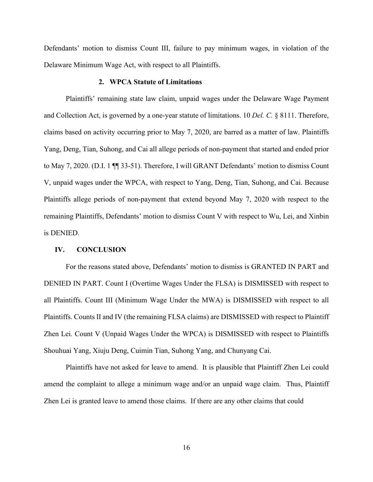Defendants' motion to dismiss Count III, failure to pay minimum wages, in violation of the Delaware Minimum Wage Act, with respect to all Plaintiffs.

## **2. WPCA Statute of Limitations**

Plaintiffs' remaining state law claim, unpaid wages under the Delaware Wage Payment and Collection Act, is governed by a one-year statute of limitations. 10 *Del. C.* § 8111. Therefore, claims based on activity occurring prior to May 7, 2020, are barred as a matter of law. Plaintiffs Yang, Deng, Tian, Suhong, and Cai all allege periods of non-payment that started and ended prior to May 7, 2020. (D.I. 1 ¶¶ 33-51). Therefore, I will GRANT Defendants' motion to dismiss Count V, unpaid wages under the WPCA, with respect to Yang, Deng, Tian, Suhong, and Cai. Because Plaintiffs allege periods of non-payment that extend beyond May 7, 2020 with respect to the remaining Plaintiffs, Defendants' motion to dismiss Count V with respect to Wu, Lei, and Xinbin is DENIED.

#### **IV. CONCLUSION**

For the reasons stated above, Defendants' motion to dismiss is GRANTED IN PART and DENIED IN PART. Count I (Overtime Wages Under the FLSA) is DISMISSED with respect to all Plaintiffs. Count III (Minimum Wage Under the MWA) is DISMISSED with respect to all Plaintiffs. Counts II and IV (the remaining FLSA claims) are DISMISSED with respect to Plaintiff Zhen Lei. Count V (Unpaid Wages Under the WPCA) is DISMISSED with respect to Plaintiffs Shouhuai Yang, Xiuju Deng, Cuimin Tian, Suhong Yang, and Chunyang Cai.

Plaintiffs have not asked for leave to amend. It is plausible that Plaintiff Zhen Lei could amend the complaint to allege a minimum wage and/or an unpaid wage claim. Thus, Plaintiff Zhen Lei is granted leave to amend those claims. If there are any other claims that could